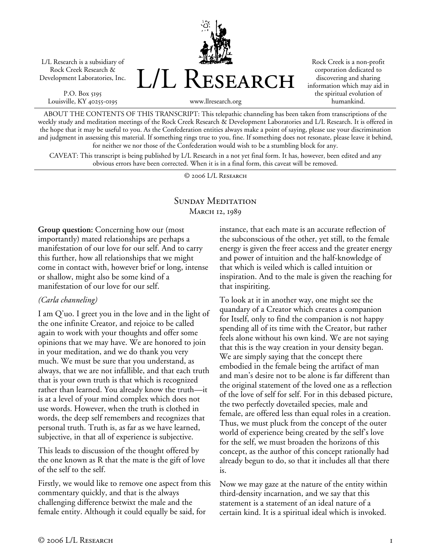L/L Research is a subsidiary of Rock Creek Research & Development Laboratories, Inc.

P.O. Box 5195 Louisville, KY 40255-0195



Rock Creek is a non-profit corporation dedicated to discovering and sharing information which may aid in the spiritual evolution of humankind.

www.llresearch.org

ABOUT THE CONTENTS OF THIS TRANSCRIPT: This telepathic channeling has been taken from transcriptions of the weekly study and meditation meetings of the Rock Creek Research & Development Laboratories and L/L Research. It is offered in the hope that it may be useful to you. As the Confederation entities always make a point of saying, please use your discrimination and judgment in assessing this material. If something rings true to you, fine. If something does not resonate, please leave it behind, for neither we nor those of the Confederation would wish to be a stumbling block for any.

CAVEAT: This transcript is being published by L/L Research in a not yet final form. It has, however, been edited and any obvious errors have been corrected. When it is in a final form, this caveat will be removed.

© 2006 L/L Research

## SUNDAY MEDITATION March 12, 1989

**Group question:** Concerning how our (most importantly) mated relationships are perhaps a manifestation of our love for our self. And to carry this further, how all relationships that we might come in contact with, however brief or long, intense or shallow, might also be some kind of a manifestation of our love for our self.

## *(Carla channeling)*

I am Q'uo. I greet you in the love and in the light of the one infinite Creator, and rejoice to be called again to work with your thoughts and offer some opinions that we may have. We are honored to join in your meditation, and we do thank you very much. We must be sure that you understand, as always, that we are not infallible, and that each truth that is your own truth is that which is recognized rather than learned. You already know the truth—it is at a level of your mind complex which does not use words. However, when the truth is clothed in words, the deep self remembers and recognizes that personal truth. Truth is, as far as we have learned, subjective, in that all of experience is subjective.

This leads to discussion of the thought offered by the one known as R that the mate is the gift of love of the self to the self.

Firstly, we would like to remove one aspect from this commentary quickly, and that is the always challenging difference betwixt the male and the female entity. Although it could equally be said, for

instance, that each mate is an accurate reflection of the subconscious of the other, yet still, to the female energy is given the freer access and the greater energy and power of intuition and the half-knowledge of that which is veiled which is called intuition or inspiration. And to the male is given the reaching for that inspiriting.

To look at it in another way, one might see the quandary of a Creator which creates a companion for Itself, only to find the companion is not happy spending all of its time with the Creator, but rather feels alone without his own kind. We are not saying that this is the way creation in your density began. We are simply saying that the concept there embodied in the female being the artifact of man and man's desire not to be alone is far different than the original statement of the loved one as a reflection of the love of self for self. For in this debased picture, the two perfectly dovetailed species, male and female, are offered less than equal roles in a creation. Thus, we must pluck from the concept of the outer world of experience being created by the self's love for the self, we must broaden the horizons of this concept, as the author of this concept rationally had already begun to do, so that it includes all that there is.

Now we may gaze at the nature of the entity within third-density incarnation, and we say that this statement is a statement of an ideal nature of a certain kind. It is a spiritual ideal which is invoked.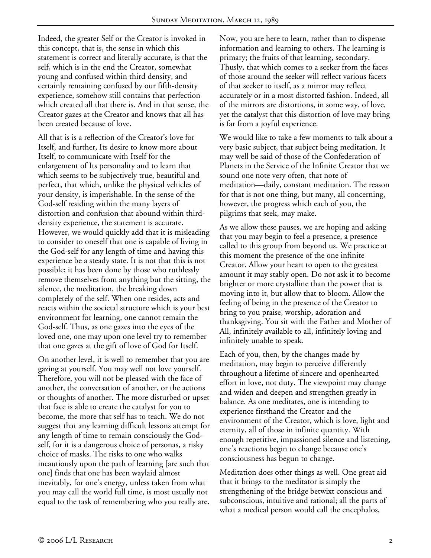Indeed, the greater Self or the Creator is invoked in this concept, that is, the sense in which this statement is correct and literally accurate, is that the self, which is in the end the Creator, somewhat young and confused within third density, and certainly remaining confused by our fifth-density experience, somehow still contains that perfection which created all that there is. And in that sense, the Creator gazes at the Creator and knows that all has been created because of love.

All that is is a reflection of the Creator's love for Itself, and further, Its desire to know more about Itself, to communicate with Itself for the enlargement of Its personality and to learn that which seems to be subjectively true, beautiful and perfect, that which, unlike the physical vehicles of your density, is imperishable. In the sense of the God-self residing within the many layers of distortion and confusion that abound within thirddensity experience, the statement is accurate. However, we would quickly add that it is misleading to consider to oneself that one is capable of living in the God-self for any length of time and having this experience be a steady state. It is not that this is not possible; it has been done by those who ruthlessly remove themselves from anything but the sitting, the silence, the meditation, the breaking down completely of the self. When one resides, acts and reacts within the societal structure which is your best environment for learning, one cannot remain the God-self. Thus, as one gazes into the eyes of the loved one, one may upon one level try to remember that one gazes at the gift of love of God for Itself.

On another level, it is well to remember that you are gazing at yourself. You may well not love yourself. Therefore, you will not be pleased with the face of another, the conversation of another, or the actions or thoughts of another. The more disturbed or upset that face is able to create the catalyst for you to become, the more that self has to teach. We do not suggest that any learning difficult lessons attempt for any length of time to remain consciously the Godself, for it is a dangerous choice of personas, a risky choice of masks. The risks to one who walks incautiously upon the path of learning [are such that one] finds that one has been waylaid almost inevitably, for one's energy, unless taken from what you may call the world full time, is most usually not equal to the task of remembering who you really are.

Now, you are here to learn, rather than to dispense information and learning to others. The learning is primary; the fruits of that learning, secondary. Thusly, that which comes to a seeker from the faces of those around the seeker will reflect various facets of that seeker to itself, as a mirror may reflect accurately or in a most distorted fashion. Indeed, all of the mirrors are distortions, in some way, of love, yet the catalyst that this distortion of love may bring is far from a joyful experience.

We would like to take a few moments to talk about a very basic subject, that subject being meditation. It may well be said of those of the Confederation of Planets in the Service of the Infinite Creator that we sound one note very often, that note of meditation—daily, constant meditation. The reason for that is not one thing, but many, all concerning, however, the progress which each of you, the pilgrims that seek, may make.

As we allow these pauses, we are hoping and asking that you may begin to feel a presence, a presence called to this group from beyond us. We practice at this moment the presence of the one infinite Creator. Allow your heart to open to the greatest amount it may stably open. Do not ask it to become brighter or more crystalline than the power that is moving into it, but allow that to bloom. Allow the feeling of being in the presence of the Creator to bring to you praise, worship, adoration and thanksgiving. You sit with the Father and Mother of All, infinitely available to all, infinitely loving and infinitely unable to speak.

Each of you, then, by the changes made by meditation, may begin to perceive differently throughout a lifetime of sincere and openhearted effort in love, not duty. The viewpoint may change and widen and deepen and strengthen greatly in balance. As one meditates, one is intending to experience firsthand the Creator and the environment of the Creator, which is love, light and eternity, all of those in infinite quantity. With enough repetitive, impassioned silence and listening, one's reactions begin to change because one's consciousness has begun to change.

Meditation does other things as well. One great aid that it brings to the meditator is simply the strengthening of the bridge betwixt conscious and subconscious, intuitive and rational; all the parts of what a medical person would call the encephalos,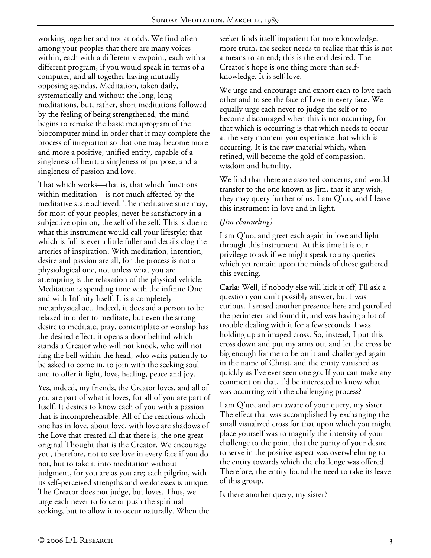working together and not at odds. We find often among your peoples that there are many voices within, each with a different viewpoint, each with a different program, if you would speak in terms of a computer, and all together having mutually opposing agendas. Meditation, taken daily, systematically and without the long, long meditations, but, rather, short meditations followed by the feeling of being strengthened, the mind begins to remake the basic metaprogram of the biocomputer mind in order that it may complete the process of integration so that one may become more and more a positive, unified entity, capable of a singleness of heart, a singleness of purpose, and a singleness of passion and love.

That which works—that is, that which functions within meditation—is not much affected by the meditative state achieved. The meditative state may, for most of your peoples, never be satisfactory in a subjective opinion, the self of the self. This is due to what this instrument would call your lifestyle; that which is full is ever a little fuller and details clog the arteries of inspiration. With meditation, intention, desire and passion are all, for the process is not a physiological one, not unless what you are attempting is the relaxation of the physical vehicle. Meditation is spending time with the infinite One and with Infinity Itself. It is a completely metaphysical act. Indeed, it does aid a person to be relaxed in order to meditate, but even the strong desire to meditate, pray, contemplate or worship has the desired effect; it opens a door behind which stands a Creator who will not knock, who will not ring the bell within the head, who waits patiently to be asked to come in, to join with the seeking soul and to offer it light, love, healing, peace and joy.

Yes, indeed, my friends, the Creator loves, and all of you are part of what it loves, for all of you are part of Itself. It desires to know each of you with a passion that is incomprehensible. All of the reactions which one has in love, about love, with love are shadows of the Love that created all that there is, the one great original Thought that is the Creator. We encourage you, therefore, not to see love in every face if you do not, but to take it into meditation without judgment, for you are as you are; each pilgrim, with its self-perceived strengths and weaknesses is unique. The Creator does not judge, but loves. Thus, we urge each never to force or push the spiritual seeking, but to allow it to occur naturally. When the

seeker finds itself impatient for more knowledge, more truth, the seeker needs to realize that this is not a means to an end; this is the end desired. The Creator's hope is one thing more than selfknowledge. It is self-love.

We urge and encourage and exhort each to love each other and to see the face of Love in every face. We equally urge each never to judge the self or to become discouraged when this is not occurring, for that which is occurring is that which needs to occur at the very moment you experience that which is occurring. It is the raw material which, when refined, will become the gold of compassion, wisdom and humility.

We find that there are assorted concerns, and would transfer to the one known as Jim, that if any wish, they may query further of us. I am Q'uo, and I leave this instrument in love and in light.

## *(Jim channeling)*

I am Q'uo, and greet each again in love and light through this instrument. At this time it is our privilege to ask if we might speak to any queries which yet remain upon the minds of those gathered this evening.

**Carla:** Well, if nobody else will kick it off, I'll ask a question you can't possibly answer, but I was curious. I sensed another presence here and patrolled the perimeter and found it, and was having a lot of trouble dealing with it for a few seconds. I was holding up an imaged cross. So, instead, I put this cross down and put my arms out and let the cross be big enough for me to be on it and challenged again in the name of Christ, and the entity vanished as quickly as I've ever seen one go. If you can make any comment on that, I'd be interested to know what was occurring with the challenging process?

I am Q'uo, and am aware of your query, my sister. The effect that was accomplished by exchanging the small visualized cross for that upon which you might place yourself was to magnify the intensity of your challenge to the point that the purity of your desire to serve in the positive aspect was overwhelming to the entity towards which the challenge was offered. Therefore, the entity found the need to take its leave of this group.

Is there another query, my sister?